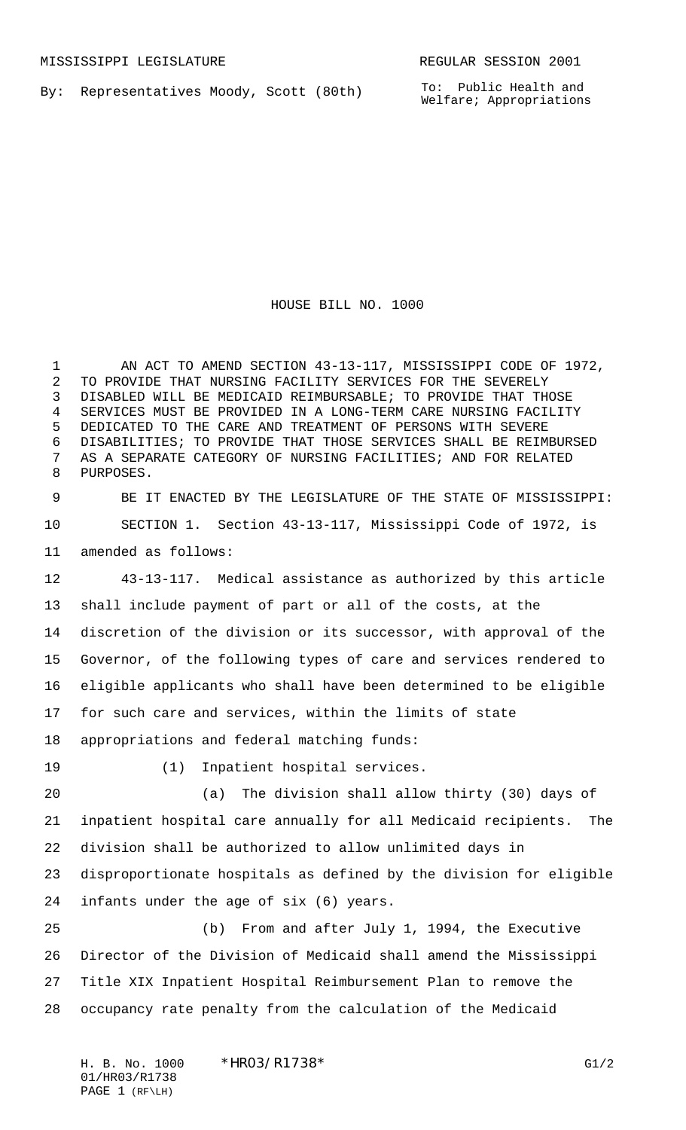By: Representatives Moody, Scott (80th)

HOUSE BILL NO. 1000

1 AN ACT TO AMEND SECTION 43-13-117, MISSISSIPPI CODE OF 1972, TO PROVIDE THAT NURSING FACILITY SERVICES FOR THE SEVERELY DISABLED WILL BE MEDICAID REIMBURSABLE; TO PROVIDE THAT THOSE SERVICES MUST BE PROVIDED IN A LONG-TERM CARE NURSING FACILITY DEDICATED TO THE CARE AND TREATMENT OF PERSONS WITH SEVERE DISABILITIES; TO PROVIDE THAT THOSE SERVICES SHALL BE REIMBURSED AS A SEPARATE CATEGORY OF NURSING FACILITIES; AND FOR RELATED PURPOSES.

 BE IT ENACTED BY THE LEGISLATURE OF THE STATE OF MISSISSIPPI: SECTION 1. Section 43-13-117, Mississippi Code of 1972, is amended as follows:

 43-13-117. Medical assistance as authorized by this article shall include payment of part or all of the costs, at the discretion of the division or its successor, with approval of the Governor, of the following types of care and services rendered to eligible applicants who shall have been determined to be eligible for such care and services, within the limits of state

appropriations and federal matching funds:

(1) Inpatient hospital services.

 (a) The division shall allow thirty (30) days of inpatient hospital care annually for all Medicaid recipients. The division shall be authorized to allow unlimited days in disproportionate hospitals as defined by the division for eligible infants under the age of six (6) years.

 (b) From and after July 1, 1994, the Executive Director of the Division of Medicaid shall amend the Mississippi Title XIX Inpatient Hospital Reimbursement Plan to remove the occupancy rate penalty from the calculation of the Medicaid

H. B. No. 1000 \*HRO3/R1738\* G1/2 01/HR03/R1738 PAGE 1 (RF\LH)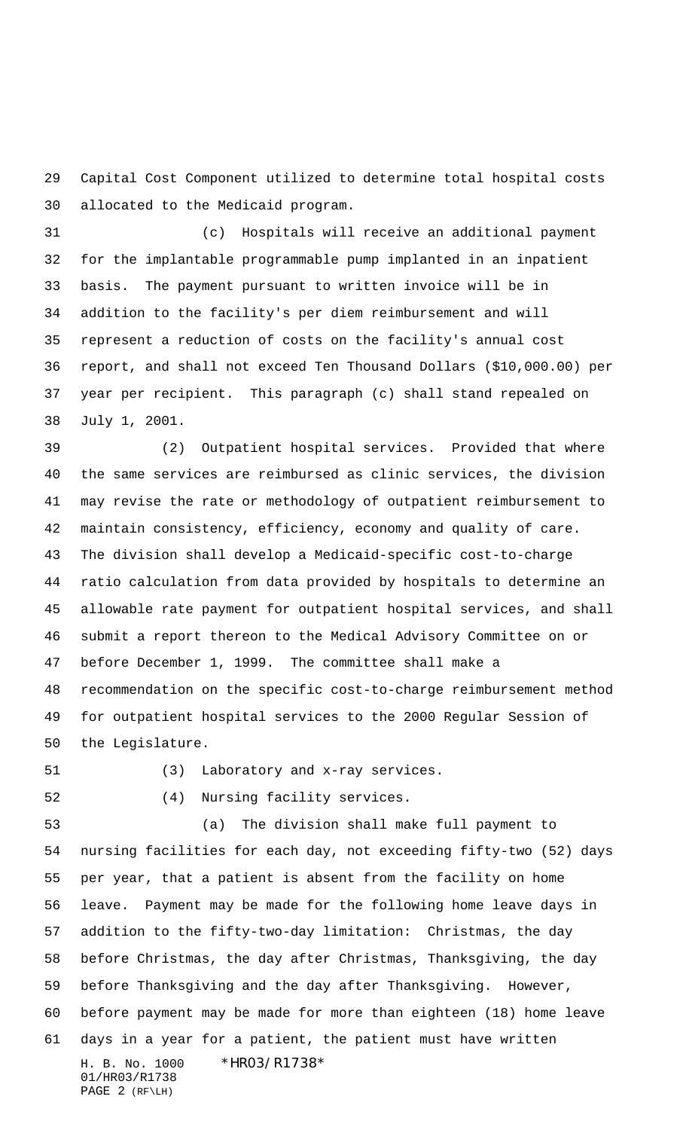Capital Cost Component utilized to determine total hospital costs allocated to the Medicaid program.

 (c) Hospitals will receive an additional payment for the implantable programmable pump implanted in an inpatient basis. The payment pursuant to written invoice will be in addition to the facility's per diem reimbursement and will represent a reduction of costs on the facility's annual cost report, and shall not exceed Ten Thousand Dollars (\$10,000.00) per year per recipient. This paragraph (c) shall stand repealed on July 1, 2001.

 (2) Outpatient hospital services. Provided that where the same services are reimbursed as clinic services, the division may revise the rate or methodology of outpatient reimbursement to maintain consistency, efficiency, economy and quality of care. The division shall develop a Medicaid-specific cost-to-charge ratio calculation from data provided by hospitals to determine an allowable rate payment for outpatient hospital services, and shall submit a report thereon to the Medical Advisory Committee on or before December 1, 1999. The committee shall make a recommendation on the specific cost-to-charge reimbursement method for outpatient hospital services to the 2000 Regular Session of the Legislature.

(3) Laboratory and x-ray services.

(4) Nursing facility services.

H. B. No. 1000 \*HR03/R1738\* 01/HR03/R1738 PAGE 2 (RF\LH) (a) The division shall make full payment to nursing facilities for each day, not exceeding fifty-two (52) days per year, that a patient is absent from the facility on home leave. Payment may be made for the following home leave days in addition to the fifty-two-day limitation: Christmas, the day before Christmas, the day after Christmas, Thanksgiving, the day before Thanksgiving and the day after Thanksgiving. However, before payment may be made for more than eighteen (18) home leave days in a year for a patient, the patient must have written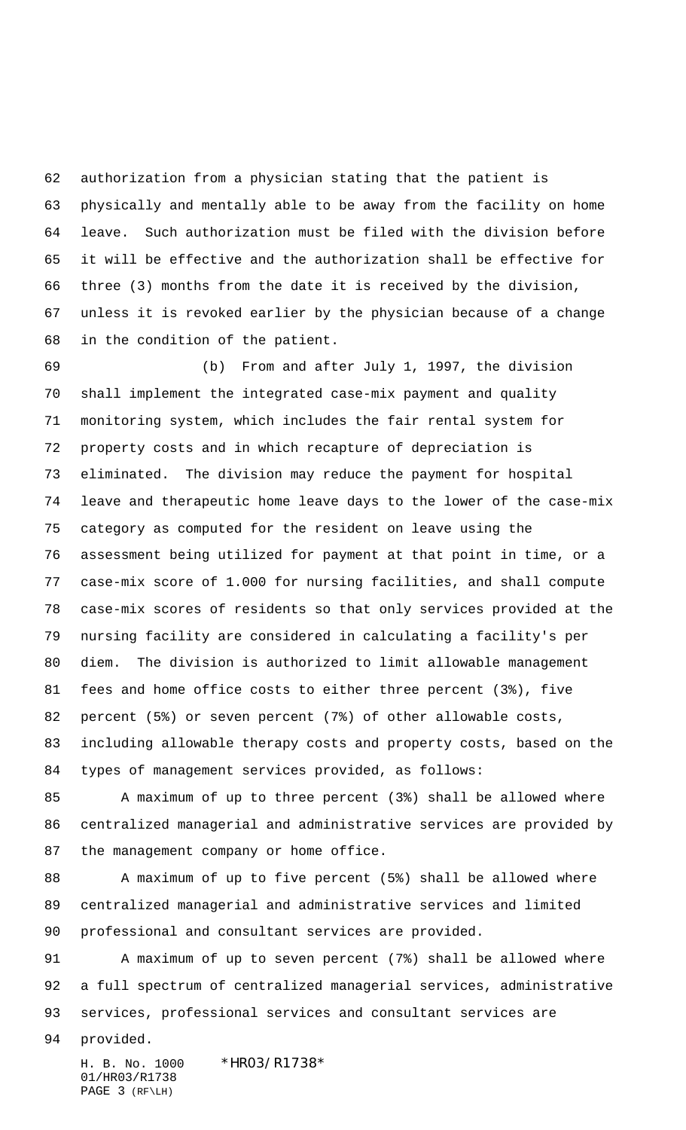authorization from a physician stating that the patient is physically and mentally able to be away from the facility on home leave. Such authorization must be filed with the division before it will be effective and the authorization shall be effective for three (3) months from the date it is received by the division, unless it is revoked earlier by the physician because of a change in the condition of the patient.

 (b) From and after July 1, 1997, the division shall implement the integrated case-mix payment and quality monitoring system, which includes the fair rental system for property costs and in which recapture of depreciation is eliminated. The division may reduce the payment for hospital leave and therapeutic home leave days to the lower of the case-mix category as computed for the resident on leave using the assessment being utilized for payment at that point in time, or a case-mix score of 1.000 for nursing facilities, and shall compute case-mix scores of residents so that only services provided at the nursing facility are considered in calculating a facility's per diem. The division is authorized to limit allowable management fees and home office costs to either three percent (3%), five percent (5%) or seven percent (7%) of other allowable costs, including allowable therapy costs and property costs, based on the types of management services provided, as follows:

 A maximum of up to three percent (3%) shall be allowed where centralized managerial and administrative services are provided by the management company or home office.

88 A maximum of up to five percent (5%) shall be allowed where centralized managerial and administrative services and limited professional and consultant services are provided.

 A maximum of up to seven percent (7%) shall be allowed where a full spectrum of centralized managerial services, administrative services, professional services and consultant services are

provided.

H. B. No. 1000 \*HR03/R1738\* 01/HR03/R1738 PAGE 3 (RF\LH)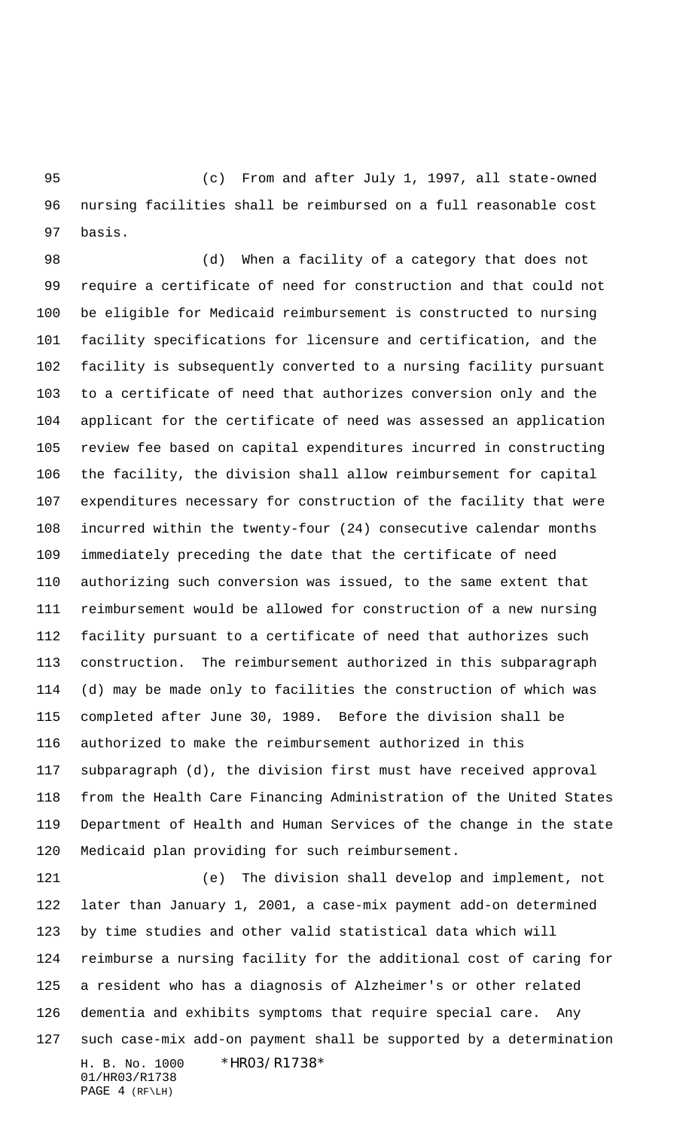(c) From and after July 1, 1997, all state-owned nursing facilities shall be reimbursed on a full reasonable cost basis.

 (d) When a facility of a category that does not require a certificate of need for construction and that could not be eligible for Medicaid reimbursement is constructed to nursing facility specifications for licensure and certification, and the facility is subsequently converted to a nursing facility pursuant to a certificate of need that authorizes conversion only and the applicant for the certificate of need was assessed an application review fee based on capital expenditures incurred in constructing the facility, the division shall allow reimbursement for capital expenditures necessary for construction of the facility that were incurred within the twenty-four (24) consecutive calendar months immediately preceding the date that the certificate of need authorizing such conversion was issued, to the same extent that reimbursement would be allowed for construction of a new nursing facility pursuant to a certificate of need that authorizes such construction. The reimbursement authorized in this subparagraph (d) may be made only to facilities the construction of which was completed after June 30, 1989. Before the division shall be authorized to make the reimbursement authorized in this subparagraph (d), the division first must have received approval from the Health Care Financing Administration of the United States Department of Health and Human Services of the change in the state Medicaid plan providing for such reimbursement.

H. B. No. 1000 \*HR03/R1738\* 01/HR03/R1738 (e) The division shall develop and implement, not later than January 1, 2001, a case-mix payment add-on determined by time studies and other valid statistical data which will reimburse a nursing facility for the additional cost of caring for a resident who has a diagnosis of Alzheimer's or other related dementia and exhibits symptoms that require special care. Any such case-mix add-on payment shall be supported by a determination

```
PAGE 4 (RF\LH)
```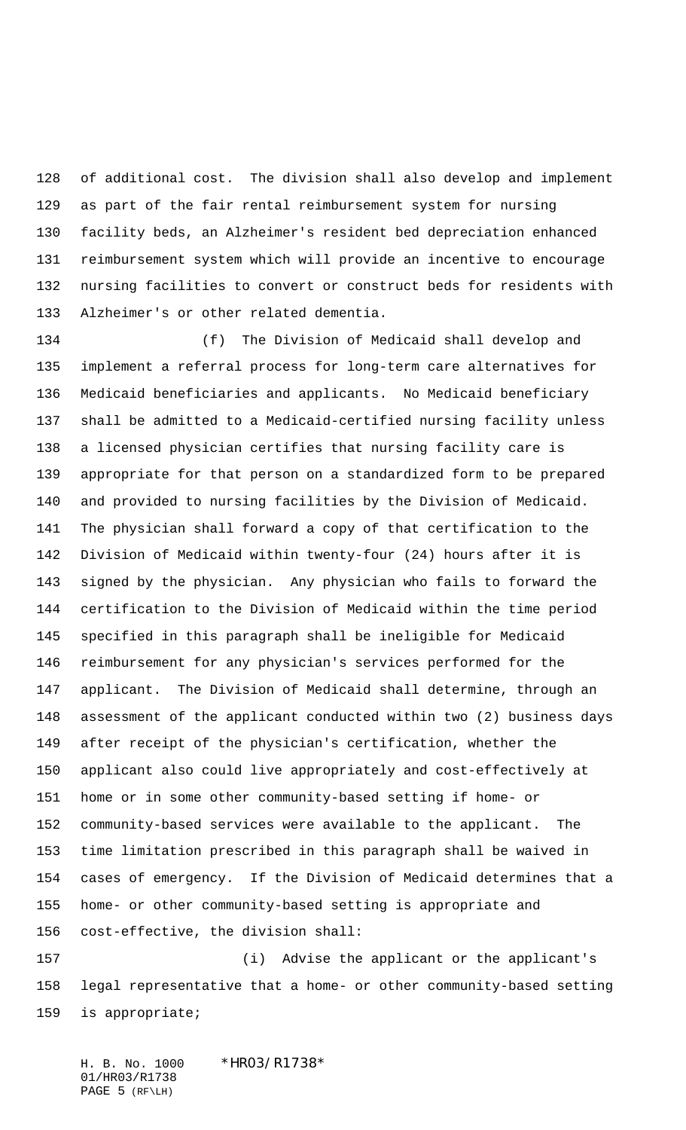of additional cost. The division shall also develop and implement as part of the fair rental reimbursement system for nursing facility beds, an Alzheimer's resident bed depreciation enhanced reimbursement system which will provide an incentive to encourage nursing facilities to convert or construct beds for residents with Alzheimer's or other related dementia.

 (f) The Division of Medicaid shall develop and implement a referral process for long-term care alternatives for Medicaid beneficiaries and applicants. No Medicaid beneficiary shall be admitted to a Medicaid-certified nursing facility unless a licensed physician certifies that nursing facility care is appropriate for that person on a standardized form to be prepared and provided to nursing facilities by the Division of Medicaid. The physician shall forward a copy of that certification to the Division of Medicaid within twenty-four (24) hours after it is signed by the physician. Any physician who fails to forward the certification to the Division of Medicaid within the time period specified in this paragraph shall be ineligible for Medicaid reimbursement for any physician's services performed for the applicant. The Division of Medicaid shall determine, through an assessment of the applicant conducted within two (2) business days after receipt of the physician's certification, whether the applicant also could live appropriately and cost-effectively at home or in some other community-based setting if home- or community-based services were available to the applicant. The time limitation prescribed in this paragraph shall be waived in cases of emergency. If the Division of Medicaid determines that a home- or other community-based setting is appropriate and cost-effective, the division shall:

 (i) Advise the applicant or the applicant's legal representative that a home- or other community-based setting is appropriate;

H. B. No. 1000 \*HR03/R1738\* 01/HR03/R1738 PAGE 5 (RF\LH)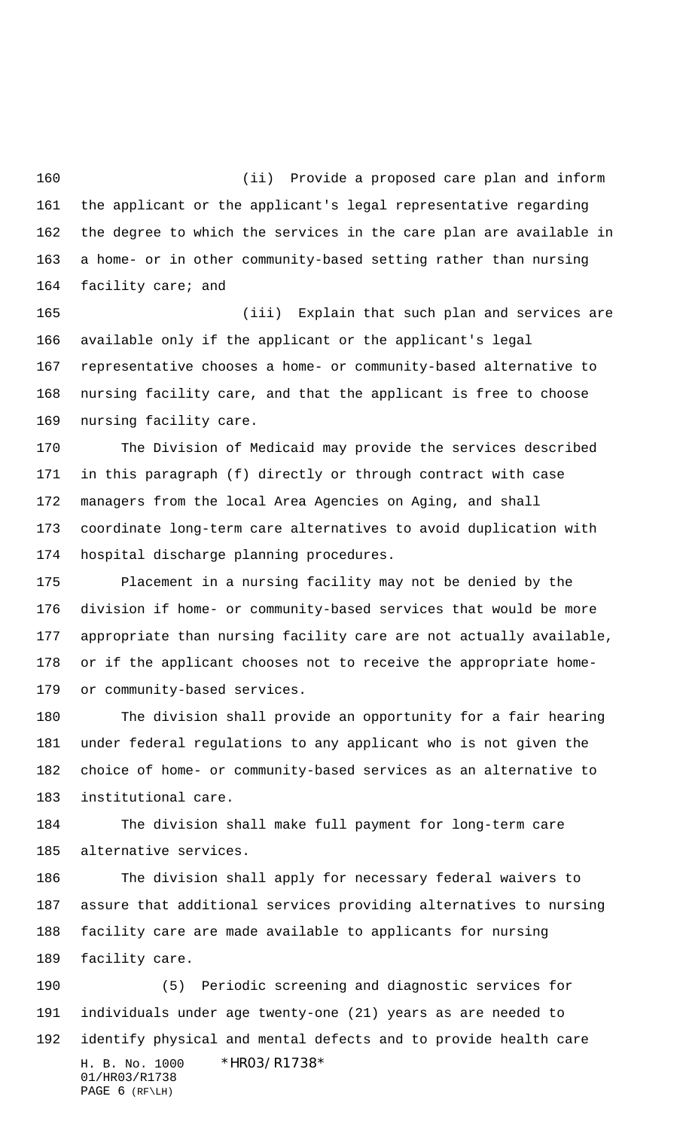(ii) Provide a proposed care plan and inform the applicant or the applicant's legal representative regarding the degree to which the services in the care plan are available in a home- or in other community-based setting rather than nursing facility care; and

 (iii) Explain that such plan and services are available only if the applicant or the applicant's legal representative chooses a home- or community-based alternative to nursing facility care, and that the applicant is free to choose nursing facility care.

 The Division of Medicaid may provide the services described in this paragraph (f) directly or through contract with case managers from the local Area Agencies on Aging, and shall coordinate long-term care alternatives to avoid duplication with hospital discharge planning procedures.

 Placement in a nursing facility may not be denied by the division if home- or community-based services that would be more appropriate than nursing facility care are not actually available, or if the applicant chooses not to receive the appropriate home-or community-based services.

 The division shall provide an opportunity for a fair hearing under federal regulations to any applicant who is not given the choice of home- or community-based services as an alternative to institutional care.

 The division shall make full payment for long-term care alternative services.

 The division shall apply for necessary federal waivers to assure that additional services providing alternatives to nursing facility care are made available to applicants for nursing facility care.

H. B. No. 1000 \*HR03/R1738\* 01/HR03/R1738 PAGE 6 (RF\LH) (5) Periodic screening and diagnostic services for individuals under age twenty-one (21) years as are needed to identify physical and mental defects and to provide health care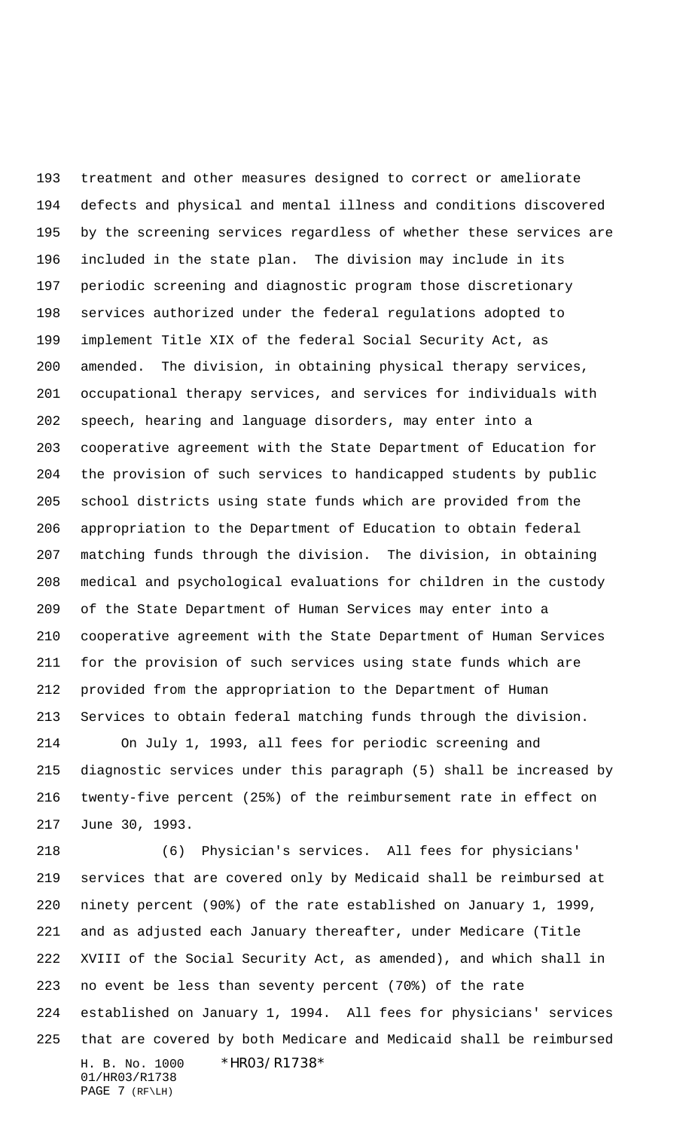treatment and other measures designed to correct or ameliorate defects and physical and mental illness and conditions discovered by the screening services regardless of whether these services are included in the state plan. The division may include in its periodic screening and diagnostic program those discretionary services authorized under the federal regulations adopted to implement Title XIX of the federal Social Security Act, as amended. The division, in obtaining physical therapy services, occupational therapy services, and services for individuals with speech, hearing and language disorders, may enter into a cooperative agreement with the State Department of Education for the provision of such services to handicapped students by public school districts using state funds which are provided from the appropriation to the Department of Education to obtain federal matching funds through the division. The division, in obtaining medical and psychological evaluations for children in the custody of the State Department of Human Services may enter into a cooperative agreement with the State Department of Human Services for the provision of such services using state funds which are provided from the appropriation to the Department of Human Services to obtain federal matching funds through the division.

 On July 1, 1993, all fees for periodic screening and diagnostic services under this paragraph (5) shall be increased by twenty-five percent (25%) of the reimbursement rate in effect on June 30, 1993.

H. B. No. 1000 \*HR03/R1738\* 01/HR03/R1738 PAGE 7 (RF\LH) (6) Physician's services. All fees for physicians' services that are covered only by Medicaid shall be reimbursed at ninety percent (90%) of the rate established on January 1, 1999, and as adjusted each January thereafter, under Medicare (Title XVIII of the Social Security Act, as amended), and which shall in no event be less than seventy percent (70%) of the rate established on January 1, 1994. All fees for physicians' services that are covered by both Medicare and Medicaid shall be reimbursed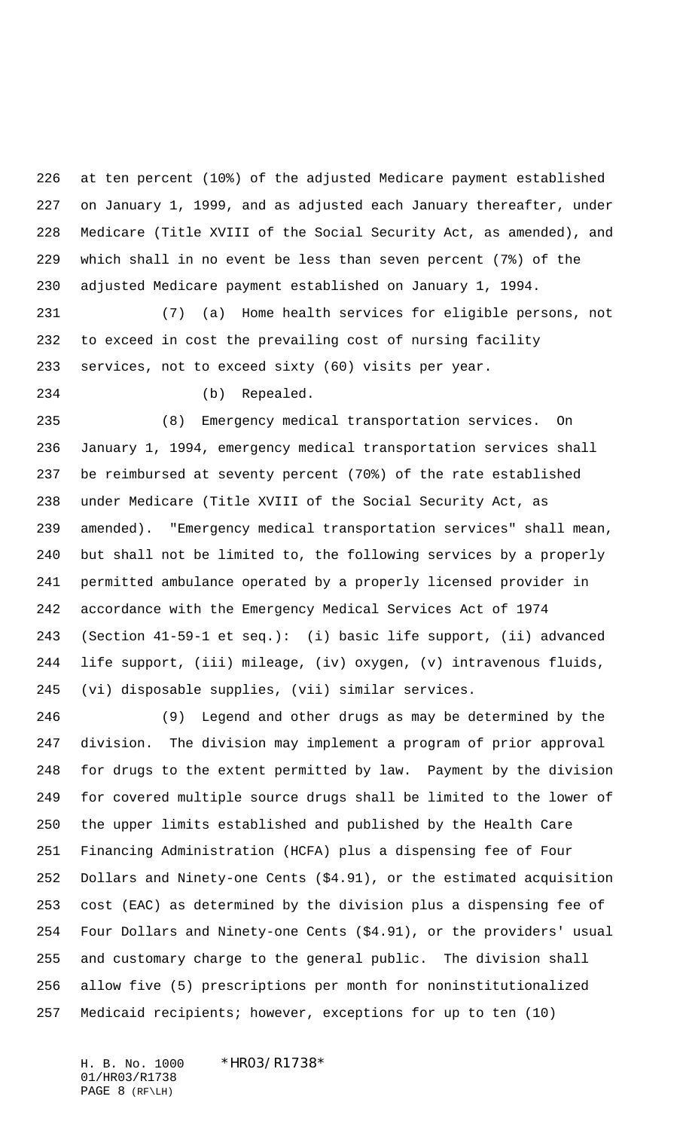at ten percent (10%) of the adjusted Medicare payment established on January 1, 1999, and as adjusted each January thereafter, under Medicare (Title XVIII of the Social Security Act, as amended), and which shall in no event be less than seven percent (7%) of the adjusted Medicare payment established on January 1, 1994.

 (7) (a) Home health services for eligible persons, not to exceed in cost the prevailing cost of nursing facility services, not to exceed sixty (60) visits per year.

(b) Repealed.

 (8) Emergency medical transportation services. On January 1, 1994, emergency medical transportation services shall be reimbursed at seventy percent (70%) of the rate established under Medicare (Title XVIII of the Social Security Act, as amended). "Emergency medical transportation services" shall mean, but shall not be limited to, the following services by a properly permitted ambulance operated by a properly licensed provider in accordance with the Emergency Medical Services Act of 1974 (Section 41-59-1 et seq.): (i) basic life support, (ii) advanced life support, (iii) mileage, (iv) oxygen, (v) intravenous fluids, (vi) disposable supplies, (vii) similar services.

 (9) Legend and other drugs as may be determined by the division. The division may implement a program of prior approval for drugs to the extent permitted by law. Payment by the division for covered multiple source drugs shall be limited to the lower of the upper limits established and published by the Health Care Financing Administration (HCFA) plus a dispensing fee of Four Dollars and Ninety-one Cents (\$4.91), or the estimated acquisition cost (EAC) as determined by the division plus a dispensing fee of Four Dollars and Ninety-one Cents (\$4.91), or the providers' usual and customary charge to the general public. The division shall allow five (5) prescriptions per month for noninstitutionalized Medicaid recipients; however, exceptions for up to ten (10)

H. B. No. 1000 \*HR03/R1738\* 01/HR03/R1738 PAGE 8 (RF\LH)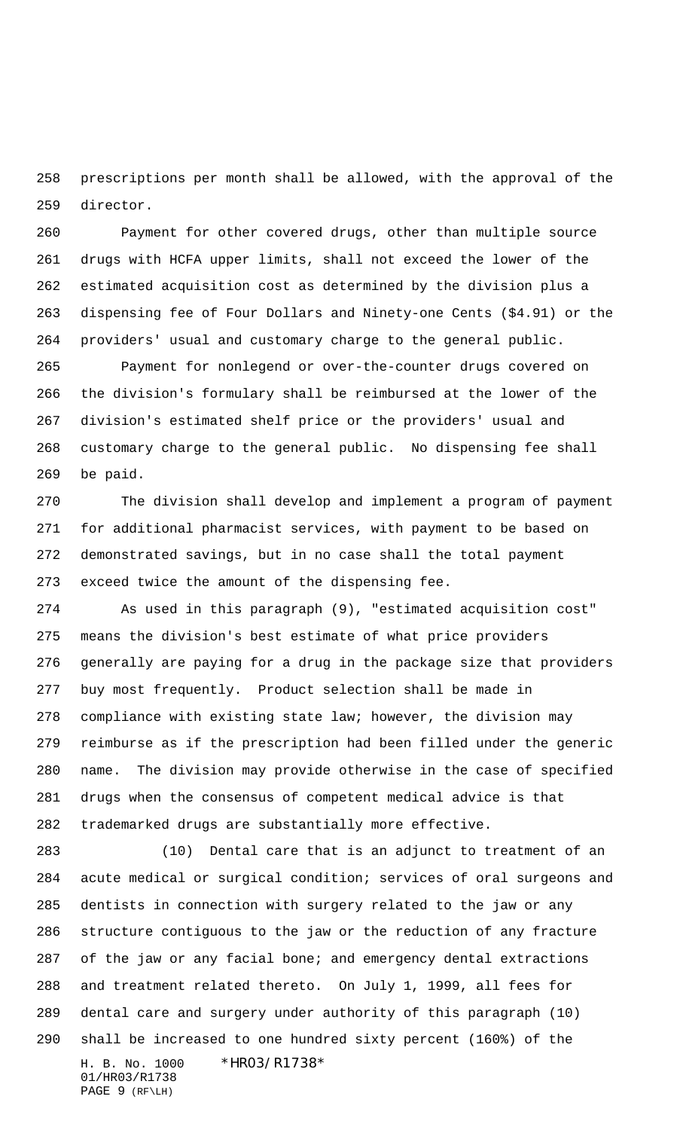prescriptions per month shall be allowed, with the approval of the director.

 Payment for other covered drugs, other than multiple source drugs with HCFA upper limits, shall not exceed the lower of the estimated acquisition cost as determined by the division plus a dispensing fee of Four Dollars and Ninety-one Cents (\$4.91) or the providers' usual and customary charge to the general public.

 Payment for nonlegend or over-the-counter drugs covered on the division's formulary shall be reimbursed at the lower of the division's estimated shelf price or the providers' usual and customary charge to the general public. No dispensing fee shall be paid.

 The division shall develop and implement a program of payment for additional pharmacist services, with payment to be based on demonstrated savings, but in no case shall the total payment exceed twice the amount of the dispensing fee.

 As used in this paragraph (9), "estimated acquisition cost" means the division's best estimate of what price providers generally are paying for a drug in the package size that providers buy most frequently. Product selection shall be made in compliance with existing state law; however, the division may reimburse as if the prescription had been filled under the generic name. The division may provide otherwise in the case of specified drugs when the consensus of competent medical advice is that trademarked drugs are substantially more effective.

H. B. No. 1000 \*HR03/R1738\* 01/HR03/R1738 PAGE 9 (RF\LH) (10) Dental care that is an adjunct to treatment of an acute medical or surgical condition; services of oral surgeons and dentists in connection with surgery related to the jaw or any structure contiguous to the jaw or the reduction of any fracture of the jaw or any facial bone; and emergency dental extractions and treatment related thereto. On July 1, 1999, all fees for dental care and surgery under authority of this paragraph (10) shall be increased to one hundred sixty percent (160%) of the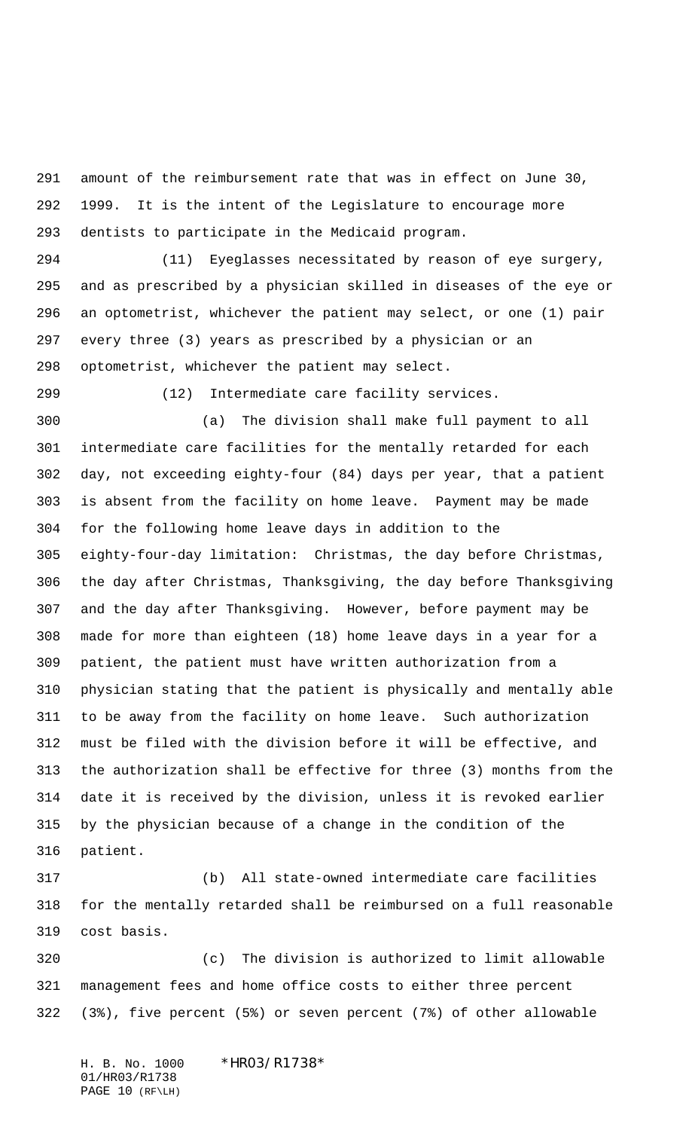amount of the reimbursement rate that was in effect on June 30, 1999. It is the intent of the Legislature to encourage more dentists to participate in the Medicaid program.

 (11) Eyeglasses necessitated by reason of eye surgery, and as prescribed by a physician skilled in diseases of the eye or an optometrist, whichever the patient may select, or one (1) pair every three (3) years as prescribed by a physician or an optometrist, whichever the patient may select.

(12) Intermediate care facility services.

 (a) The division shall make full payment to all intermediate care facilities for the mentally retarded for each day, not exceeding eighty-four (84) days per year, that a patient is absent from the facility on home leave. Payment may be made for the following home leave days in addition to the eighty-four-day limitation: Christmas, the day before Christmas, the day after Christmas, Thanksgiving, the day before Thanksgiving and the day after Thanksgiving. However, before payment may be made for more than eighteen (18) home leave days in a year for a patient, the patient must have written authorization from a physician stating that the patient is physically and mentally able to be away from the facility on home leave. Such authorization must be filed with the division before it will be effective, and the authorization shall be effective for three (3) months from the date it is received by the division, unless it is revoked earlier by the physician because of a change in the condition of the patient.

 (b) All state-owned intermediate care facilities for the mentally retarded shall be reimbursed on a full reasonable cost basis.

 (c) The division is authorized to limit allowable management fees and home office costs to either three percent (3%), five percent (5%) or seven percent (7%) of other allowable

H. B. No. 1000 \*HR03/R1738\* 01/HR03/R1738 PAGE 10 (RF\LH)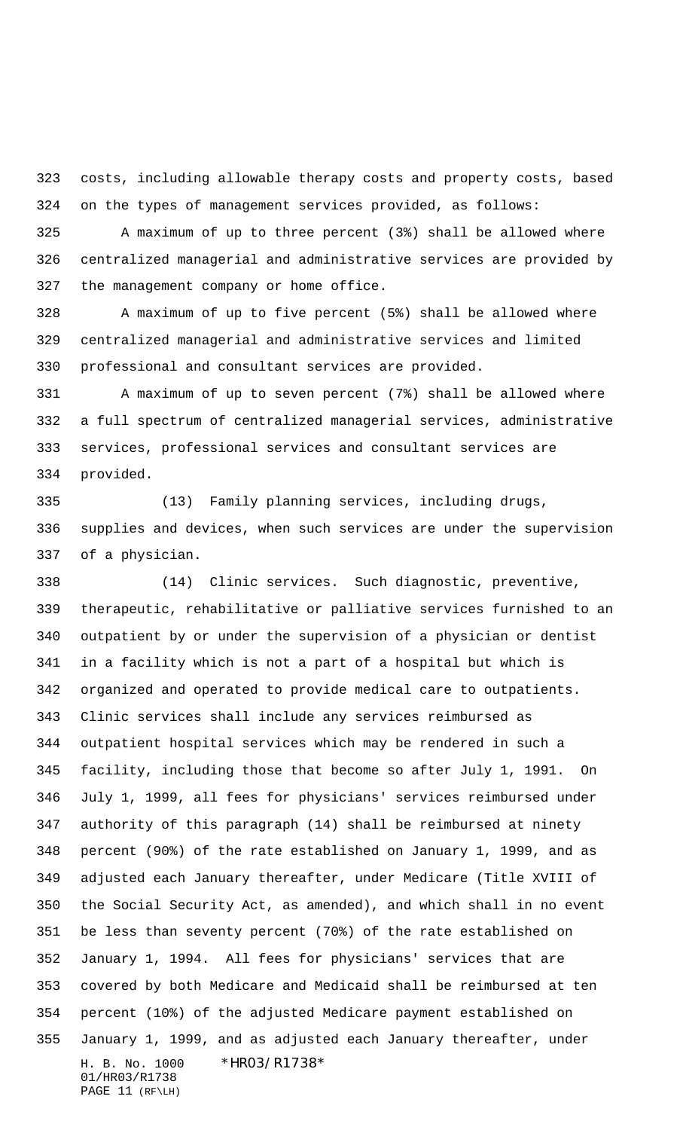costs, including allowable therapy costs and property costs, based on the types of management services provided, as follows:

 A maximum of up to three percent (3%) shall be allowed where centralized managerial and administrative services are provided by the management company or home office.

 A maximum of up to five percent (5%) shall be allowed where centralized managerial and administrative services and limited professional and consultant services are provided.

 A maximum of up to seven percent (7%) shall be allowed where a full spectrum of centralized managerial services, administrative services, professional services and consultant services are provided.

 (13) Family planning services, including drugs, supplies and devices, when such services are under the supervision of a physician.

H. B. No. 1000 \*HR03/R1738\* 01/HR03/R1738 PAGE 11 (RF\LH) (14) Clinic services. Such diagnostic, preventive, therapeutic, rehabilitative or palliative services furnished to an outpatient by or under the supervision of a physician or dentist in a facility which is not a part of a hospital but which is organized and operated to provide medical care to outpatients. Clinic services shall include any services reimbursed as outpatient hospital services which may be rendered in such a facility, including those that become so after July 1, 1991. On July 1, 1999, all fees for physicians' services reimbursed under authority of this paragraph (14) shall be reimbursed at ninety percent (90%) of the rate established on January 1, 1999, and as adjusted each January thereafter, under Medicare (Title XVIII of the Social Security Act, as amended), and which shall in no event be less than seventy percent (70%) of the rate established on January 1, 1994. All fees for physicians' services that are covered by both Medicare and Medicaid shall be reimbursed at ten percent (10%) of the adjusted Medicare payment established on January 1, 1999, and as adjusted each January thereafter, under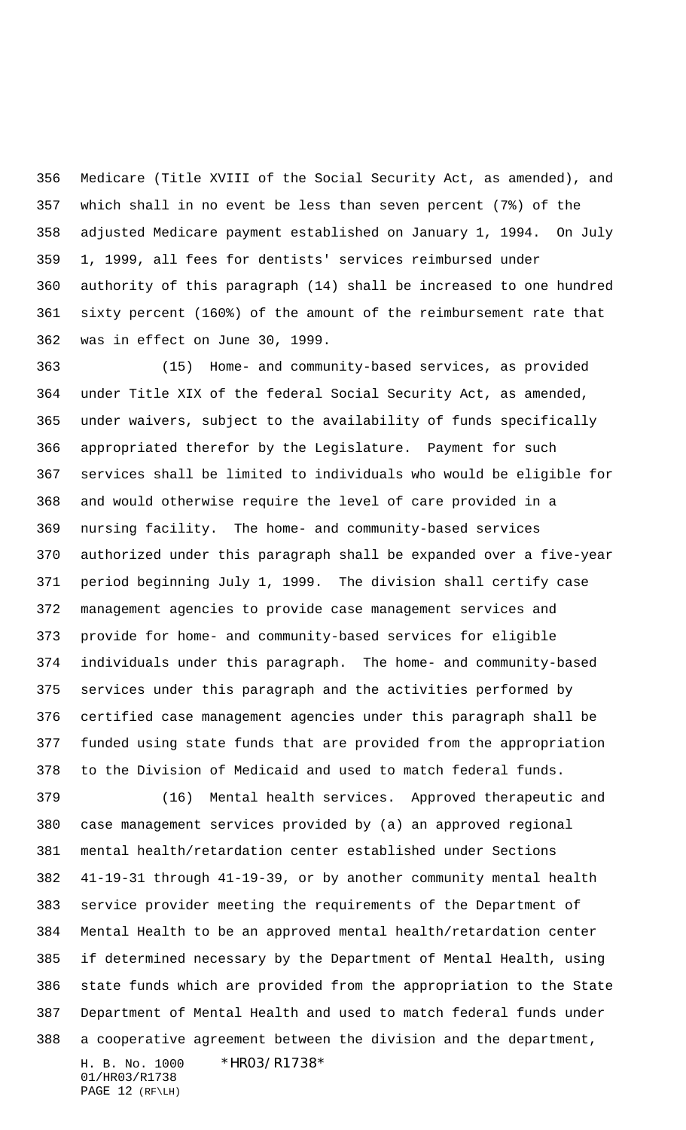Medicare (Title XVIII of the Social Security Act, as amended), and which shall in no event be less than seven percent (7%) of the adjusted Medicare payment established on January 1, 1994. On July 1, 1999, all fees for dentists' services reimbursed under authority of this paragraph (14) shall be increased to one hundred sixty percent (160%) of the amount of the reimbursement rate that was in effect on June 30, 1999.

 (15) Home- and community-based services, as provided under Title XIX of the federal Social Security Act, as amended, under waivers, subject to the availability of funds specifically appropriated therefor by the Legislature. Payment for such services shall be limited to individuals who would be eligible for and would otherwise require the level of care provided in a nursing facility. The home- and community-based services authorized under this paragraph shall be expanded over a five-year period beginning July 1, 1999. The division shall certify case management agencies to provide case management services and provide for home- and community-based services for eligible individuals under this paragraph. The home- and community-based services under this paragraph and the activities performed by certified case management agencies under this paragraph shall be funded using state funds that are provided from the appropriation to the Division of Medicaid and used to match federal funds.

H. B. No. 1000 \*HR03/R1738\* (16) Mental health services. Approved therapeutic and case management services provided by (a) an approved regional mental health/retardation center established under Sections 41-19-31 through 41-19-39, or by another community mental health service provider meeting the requirements of the Department of Mental Health to be an approved mental health/retardation center if determined necessary by the Department of Mental Health, using state funds which are provided from the appropriation to the State Department of Mental Health and used to match federal funds under a cooperative agreement between the division and the department,

01/HR03/R1738 PAGE 12 (RF\LH)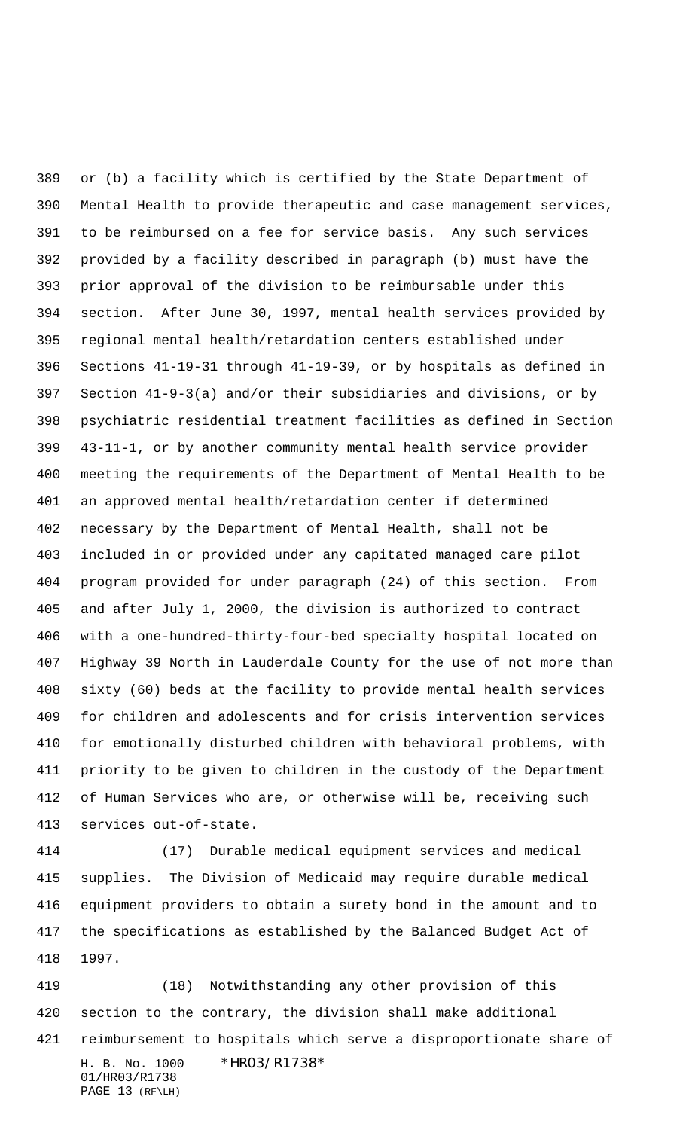or (b) a facility which is certified by the State Department of Mental Health to provide therapeutic and case management services, to be reimbursed on a fee for service basis. Any such services provided by a facility described in paragraph (b) must have the prior approval of the division to be reimbursable under this section. After June 30, 1997, mental health services provided by regional mental health/retardation centers established under Sections 41-19-31 through 41-19-39, or by hospitals as defined in Section 41-9-3(a) and/or their subsidiaries and divisions, or by psychiatric residential treatment facilities as defined in Section 43-11-1, or by another community mental health service provider meeting the requirements of the Department of Mental Health to be an approved mental health/retardation center if determined necessary by the Department of Mental Health, shall not be included in or provided under any capitated managed care pilot program provided for under paragraph (24) of this section. From and after July 1, 2000, the division is authorized to contract with a one-hundred-thirty-four-bed specialty hospital located on Highway 39 North in Lauderdale County for the use of not more than sixty (60) beds at the facility to provide mental health services for children and adolescents and for crisis intervention services for emotionally disturbed children with behavioral problems, with priority to be given to children in the custody of the Department of Human Services who are, or otherwise will be, receiving such services out-of-state.

 (17) Durable medical equipment services and medical supplies. The Division of Medicaid may require durable medical equipment providers to obtain a surety bond in the amount and to the specifications as established by the Balanced Budget Act of 1997.

H. B. No. 1000 \*HR03/R1738\* 01/HR03/R1738 PAGE 13 (RF\LH) (18) Notwithstanding any other provision of this section to the contrary, the division shall make additional reimbursement to hospitals which serve a disproportionate share of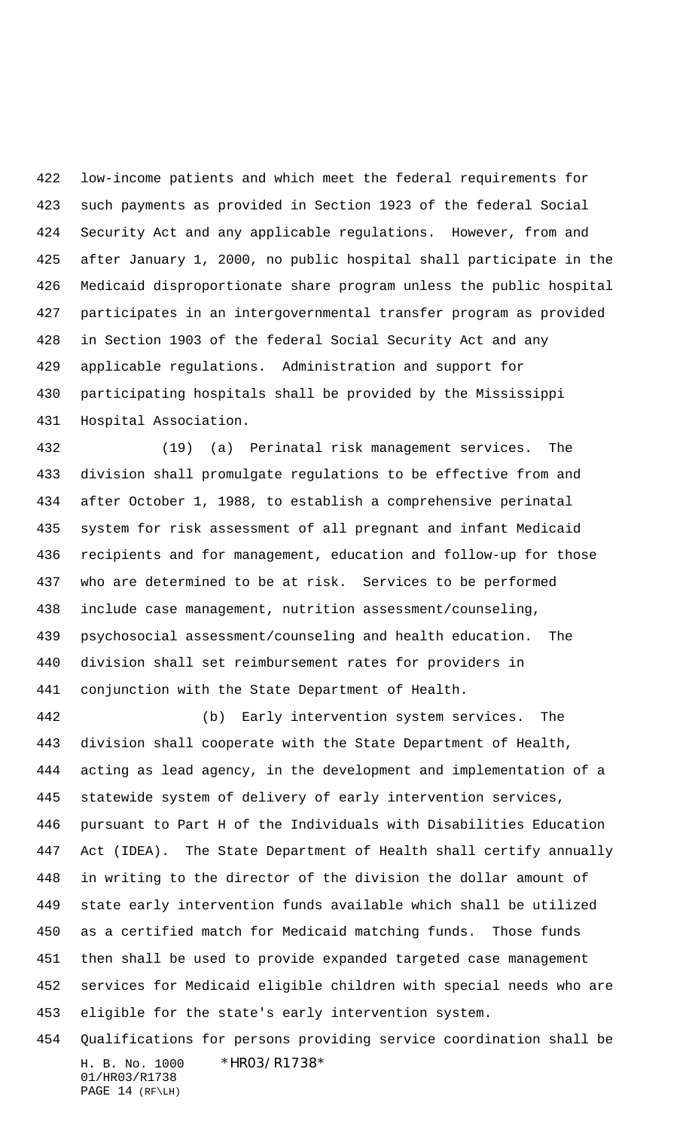low-income patients and which meet the federal requirements for such payments as provided in Section 1923 of the federal Social Security Act and any applicable regulations. However, from and after January 1, 2000, no public hospital shall participate in the Medicaid disproportionate share program unless the public hospital participates in an intergovernmental transfer program as provided in Section 1903 of the federal Social Security Act and any applicable regulations. Administration and support for participating hospitals shall be provided by the Mississippi Hospital Association.

 (19) (a) Perinatal risk management services. The division shall promulgate regulations to be effective from and after October 1, 1988, to establish a comprehensive perinatal system for risk assessment of all pregnant and infant Medicaid recipients and for management, education and follow-up for those who are determined to be at risk. Services to be performed include case management, nutrition assessment/counseling, psychosocial assessment/counseling and health education. The division shall set reimbursement rates for providers in conjunction with the State Department of Health.

 (b) Early intervention system services. The division shall cooperate with the State Department of Health, acting as lead agency, in the development and implementation of a statewide system of delivery of early intervention services, pursuant to Part H of the Individuals with Disabilities Education Act (IDEA). The State Department of Health shall certify annually in writing to the director of the division the dollar amount of state early intervention funds available which shall be utilized as a certified match for Medicaid matching funds. Those funds then shall be used to provide expanded targeted case management services for Medicaid eligible children with special needs who are eligible for the state's early intervention system.

H. B. No. 1000 \*HR03/R1738\* 01/HR03/R1738 PAGE 14 (RF\LH) Qualifications for persons providing service coordination shall be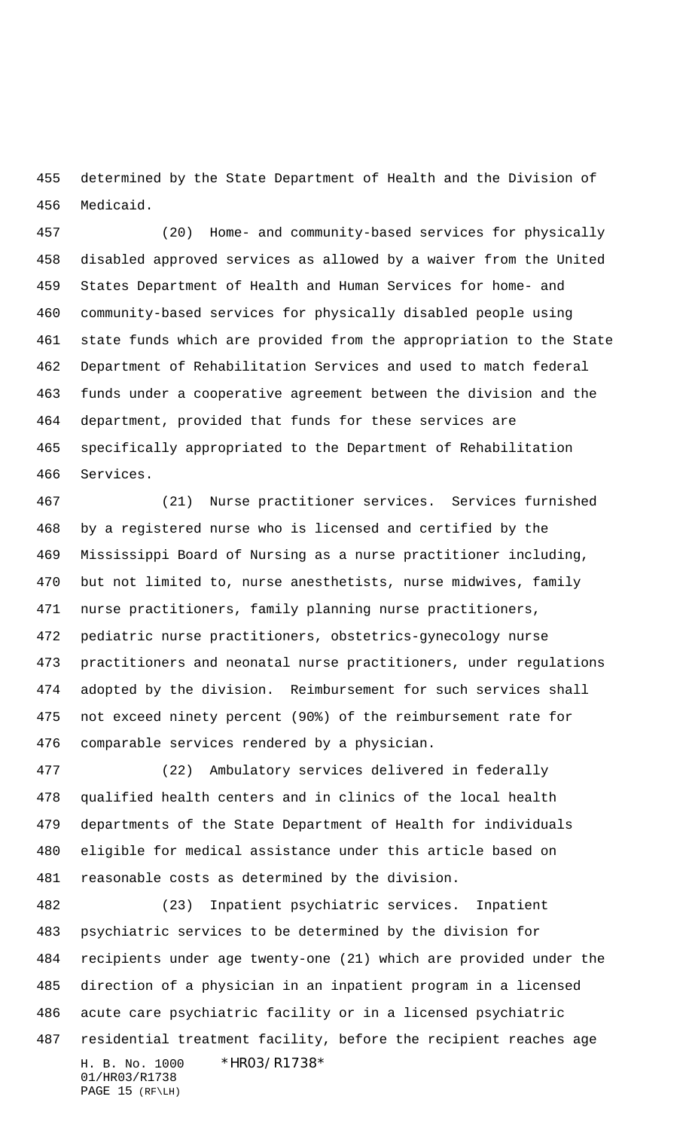determined by the State Department of Health and the Division of Medicaid.

 (20) Home- and community-based services for physically disabled approved services as allowed by a waiver from the United States Department of Health and Human Services for home- and community-based services for physically disabled people using state funds which are provided from the appropriation to the State Department of Rehabilitation Services and used to match federal funds under a cooperative agreement between the division and the department, provided that funds for these services are specifically appropriated to the Department of Rehabilitation Services.

 (21) Nurse practitioner services. Services furnished by a registered nurse who is licensed and certified by the Mississippi Board of Nursing as a nurse practitioner including, but not limited to, nurse anesthetists, nurse midwives, family nurse practitioners, family planning nurse practitioners, pediatric nurse practitioners, obstetrics-gynecology nurse practitioners and neonatal nurse practitioners, under regulations adopted by the division. Reimbursement for such services shall not exceed ninety percent (90%) of the reimbursement rate for comparable services rendered by a physician.

 (22) Ambulatory services delivered in federally qualified health centers and in clinics of the local health departments of the State Department of Health for individuals eligible for medical assistance under this article based on reasonable costs as determined by the division.

H. B. No. 1000 \*HR03/R1738\* 01/HR03/R1738 (23) Inpatient psychiatric services. Inpatient psychiatric services to be determined by the division for recipients under age twenty-one (21) which are provided under the direction of a physician in an inpatient program in a licensed acute care psychiatric facility or in a licensed psychiatric residential treatment facility, before the recipient reaches age

PAGE 15 (RF\LH)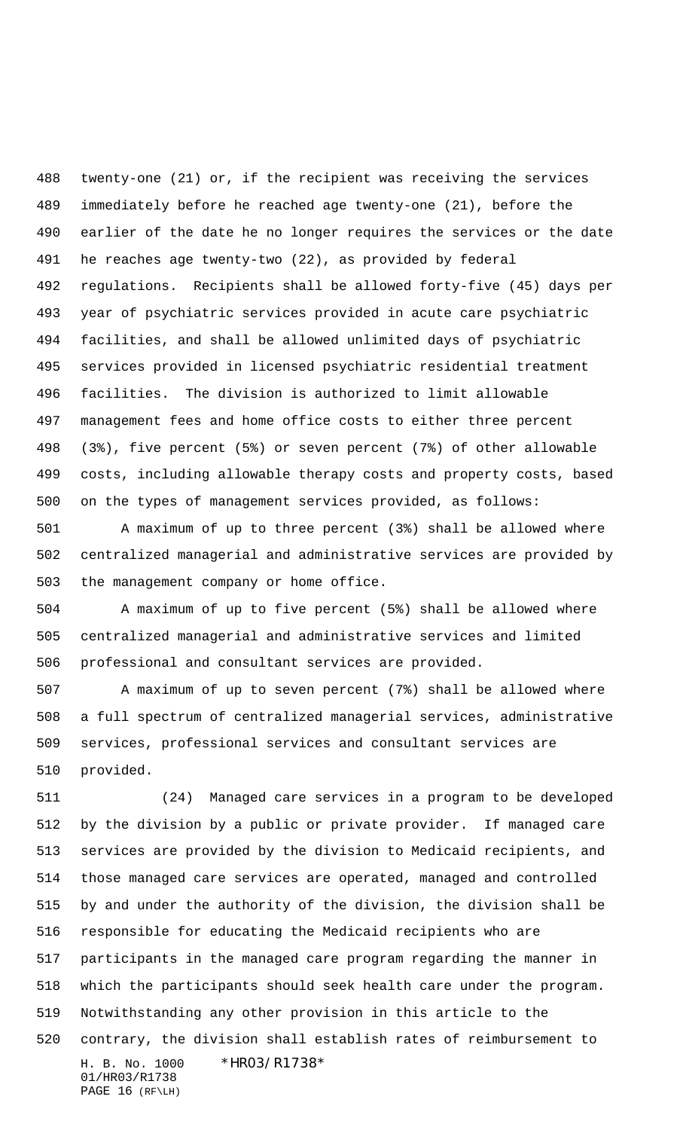twenty-one (21) or, if the recipient was receiving the services immediately before he reached age twenty-one (21), before the earlier of the date he no longer requires the services or the date he reaches age twenty-two (22), as provided by federal regulations. Recipients shall be allowed forty-five (45) days per year of psychiatric services provided in acute care psychiatric facilities, and shall be allowed unlimited days of psychiatric services provided in licensed psychiatric residential treatment facilities. The division is authorized to limit allowable management fees and home office costs to either three percent (3%), five percent (5%) or seven percent (7%) of other allowable costs, including allowable therapy costs and property costs, based on the types of management services provided, as follows:

 A maximum of up to three percent (3%) shall be allowed where centralized managerial and administrative services are provided by the management company or home office.

 A maximum of up to five percent (5%) shall be allowed where centralized managerial and administrative services and limited professional and consultant services are provided.

 A maximum of up to seven percent (7%) shall be allowed where a full spectrum of centralized managerial services, administrative services, professional services and consultant services are provided.

H. B. No. 1000 \*HR03/R1738\* 01/HR03/R1738 PAGE 16 (RF\LH) (24) Managed care services in a program to be developed by the division by a public or private provider. If managed care services are provided by the division to Medicaid recipients, and those managed care services are operated, managed and controlled by and under the authority of the division, the division shall be responsible for educating the Medicaid recipients who are participants in the managed care program regarding the manner in which the participants should seek health care under the program. Notwithstanding any other provision in this article to the contrary, the division shall establish rates of reimbursement to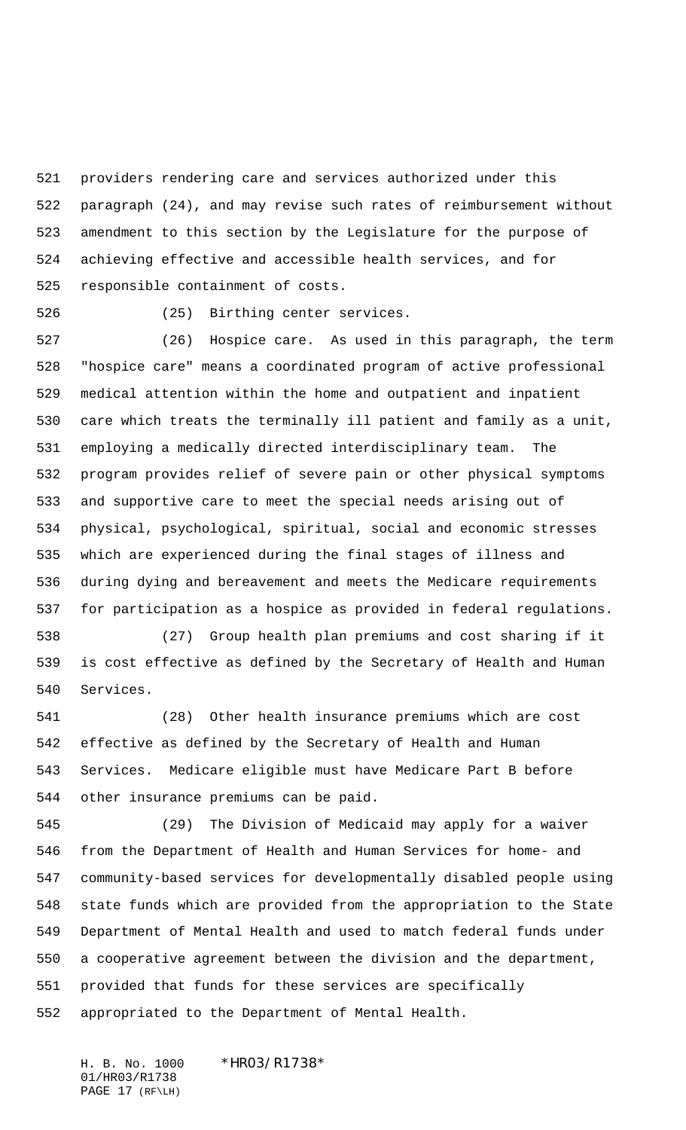providers rendering care and services authorized under this paragraph (24), and may revise such rates of reimbursement without amendment to this section by the Legislature for the purpose of achieving effective and accessible health services, and for responsible containment of costs.

(25) Birthing center services.

 (26) Hospice care. As used in this paragraph, the term "hospice care" means a coordinated program of active professional medical attention within the home and outpatient and inpatient care which treats the terminally ill patient and family as a unit, employing a medically directed interdisciplinary team. The program provides relief of severe pain or other physical symptoms and supportive care to meet the special needs arising out of physical, psychological, spiritual, social and economic stresses which are experienced during the final stages of illness and during dying and bereavement and meets the Medicare requirements for participation as a hospice as provided in federal regulations.

 (27) Group health plan premiums and cost sharing if it is cost effective as defined by the Secretary of Health and Human Services.

 (28) Other health insurance premiums which are cost effective as defined by the Secretary of Health and Human Services. Medicare eligible must have Medicare Part B before other insurance premiums can be paid.

 (29) The Division of Medicaid may apply for a waiver from the Department of Health and Human Services for home- and community-based services for developmentally disabled people using state funds which are provided from the appropriation to the State Department of Mental Health and used to match federal funds under a cooperative agreement between the division and the department, provided that funds for these services are specifically appropriated to the Department of Mental Health.

H. B. No. 1000 \*HR03/R1738\* 01/HR03/R1738 PAGE 17 (RF\LH)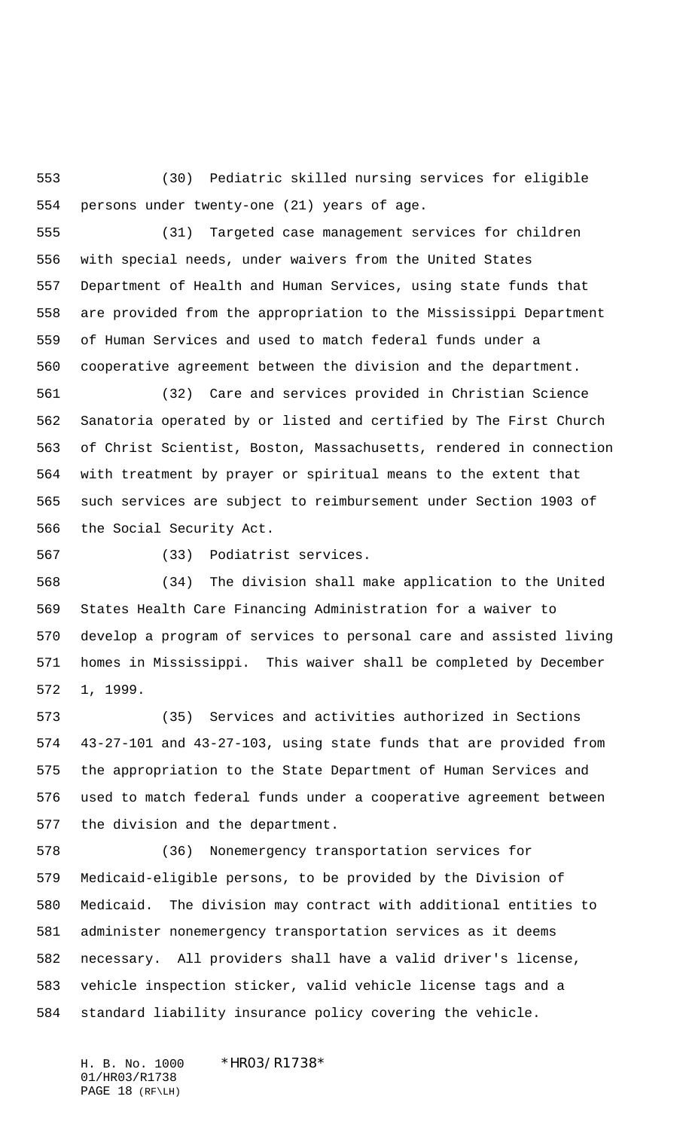(30) Pediatric skilled nursing services for eligible persons under twenty-one (21) years of age.

 (31) Targeted case management services for children with special needs, under waivers from the United States Department of Health and Human Services, using state funds that are provided from the appropriation to the Mississippi Department of Human Services and used to match federal funds under a cooperative agreement between the division and the department.

 (32) Care and services provided in Christian Science Sanatoria operated by or listed and certified by The First Church of Christ Scientist, Boston, Massachusetts, rendered in connection with treatment by prayer or spiritual means to the extent that such services are subject to reimbursement under Section 1903 of the Social Security Act.

(33) Podiatrist services.

 (34) The division shall make application to the United States Health Care Financing Administration for a waiver to develop a program of services to personal care and assisted living homes in Mississippi. This waiver shall be completed by December 1, 1999.

 (35) Services and activities authorized in Sections 43-27-101 and 43-27-103, using state funds that are provided from the appropriation to the State Department of Human Services and used to match federal funds under a cooperative agreement between the division and the department.

 (36) Nonemergency transportation services for Medicaid-eligible persons, to be provided by the Division of Medicaid. The division may contract with additional entities to administer nonemergency transportation services as it deems necessary. All providers shall have a valid driver's license, vehicle inspection sticker, valid vehicle license tags and a standard liability insurance policy covering the vehicle.

H. B. No. 1000 \*HR03/R1738\* 01/HR03/R1738 PAGE 18 (RF\LH)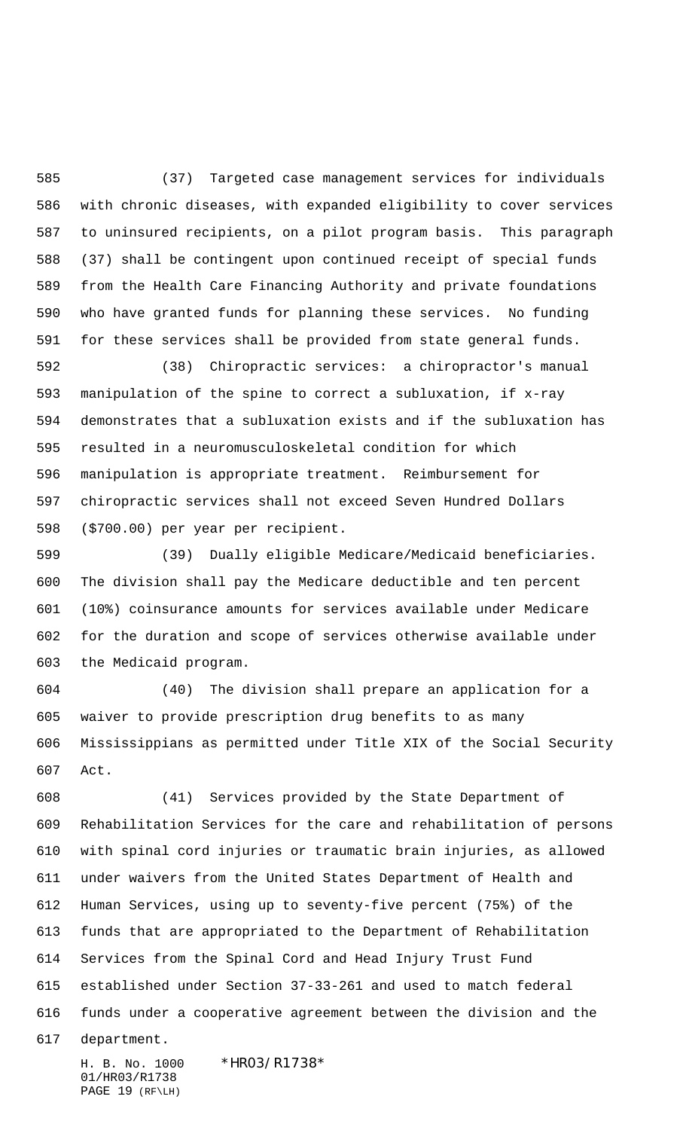(37) Targeted case management services for individuals with chronic diseases, with expanded eligibility to cover services to uninsured recipients, on a pilot program basis. This paragraph (37) shall be contingent upon continued receipt of special funds from the Health Care Financing Authority and private foundations who have granted funds for planning these services. No funding for these services shall be provided from state general funds.

 (38) Chiropractic services: a chiropractor's manual manipulation of the spine to correct a subluxation, if x-ray demonstrates that a subluxation exists and if the subluxation has resulted in a neuromusculoskeletal condition for which manipulation is appropriate treatment. Reimbursement for chiropractic services shall not exceed Seven Hundred Dollars (\$700.00) per year per recipient.

 (39) Dually eligible Medicare/Medicaid beneficiaries. The division shall pay the Medicare deductible and ten percent (10%) coinsurance amounts for services available under Medicare for the duration and scope of services otherwise available under the Medicaid program.

 (40) The division shall prepare an application for a waiver to provide prescription drug benefits to as many Mississippians as permitted under Title XIX of the Social Security Act.

 (41) Services provided by the State Department of Rehabilitation Services for the care and rehabilitation of persons with spinal cord injuries or traumatic brain injuries, as allowed under waivers from the United States Department of Health and Human Services, using up to seventy-five percent (75%) of the funds that are appropriated to the Department of Rehabilitation Services from the Spinal Cord and Head Injury Trust Fund established under Section 37-33-261 and used to match federal funds under a cooperative agreement between the division and the

department.

H. B. No. 1000 \*HR03/R1738\* 01/HR03/R1738 PAGE 19 (RF\LH)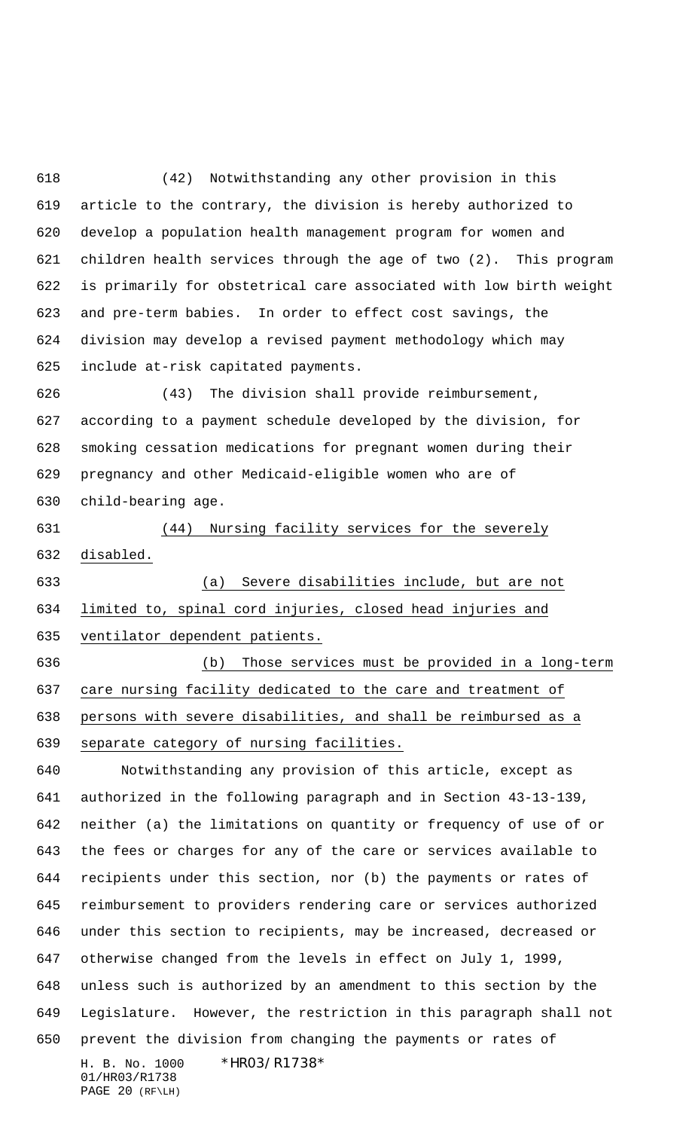(42) Notwithstanding any other provision in this article to the contrary, the division is hereby authorized to develop a population health management program for women and children health services through the age of two (2). This program is primarily for obstetrical care associated with low birth weight and pre-term babies. In order to effect cost savings, the division may develop a revised payment methodology which may include at-risk capitated payments.

 (43) The division shall provide reimbursement, according to a payment schedule developed by the division, for smoking cessation medications for pregnant women during their pregnancy and other Medicaid-eligible women who are of child-bearing age.

 (44) Nursing facility services for the severely disabled.

 (a) Severe disabilities include, but are not limited to, spinal cord injuries, closed head injuries and ventilator dependent patients.

 (b) Those services must be provided in a long-term care nursing facility dedicated to the care and treatment of persons with severe disabilities, and shall be reimbursed as a separate category of nursing facilities.

H. B. No. 1000 \*HR03/R1738\* 01/HR03/R1738 PAGE 20 (RF\LH) Notwithstanding any provision of this article, except as authorized in the following paragraph and in Section 43-13-139, neither (a) the limitations on quantity or frequency of use of or the fees or charges for any of the care or services available to recipients under this section, nor (b) the payments or rates of reimbursement to providers rendering care or services authorized under this section to recipients, may be increased, decreased or otherwise changed from the levels in effect on July 1, 1999, unless such is authorized by an amendment to this section by the Legislature. However, the restriction in this paragraph shall not prevent the division from changing the payments or rates of